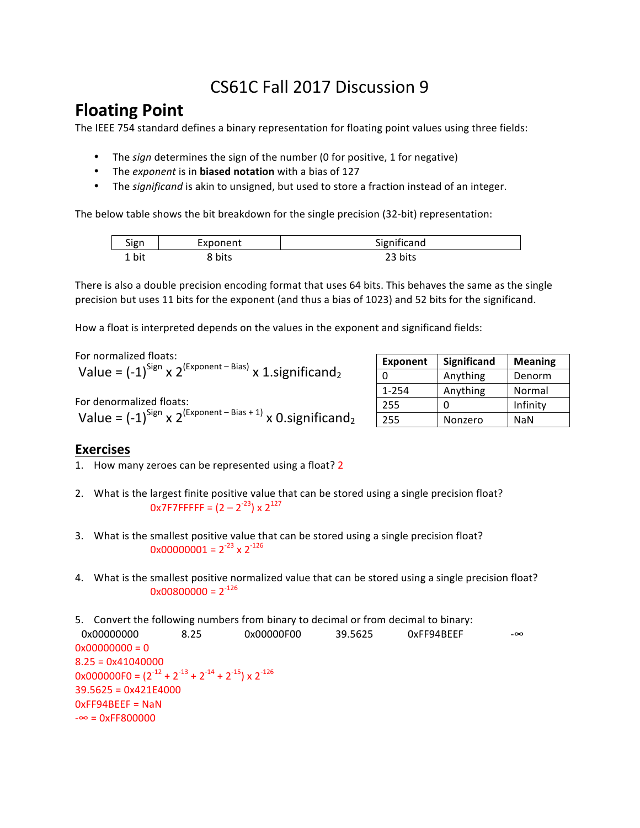# CS61C Fall 2017 Discussion 9

## **Floating Point**

The IEEE 754 standard defines a binary representation for floating point values using three fields:

- The *sign* determines the sign of the number (0 for positive, 1 for negative)
- The exponent is in **biased notation** with a bias of 127
- The *significand* is akin to unsigned, but used to store a fraction instead of an integer.

The below table shows the bit breakdown for the single precision (32-bit) representation:

| Sign  | Exponent | Significand |
|-------|----------|-------------|
| 1 bit | 8 bits   | 23 bits     |

There is also a double precision encoding format that uses 64 bits. This behaves the same as the single precision but uses 11 bits for the exponent (and thus a bias of 1023) and 52 bits for the significand.

How a float is interpreted depends on the values in the exponent and significand fields:

For normalized floats:

|  | Value = $(-1)^{\text{Sign}} \times 2^{(\text{Exponent - Bias})} \times 1 \text{.}$ significand <sub>2</sub> |
|--|-------------------------------------------------------------------------------------------------------------|
|--|-------------------------------------------------------------------------------------------------------------|

For denormalized floats: Value =  $(-1)^{\text{Sign}}$  x 2<sup>(Exponent – Bias + 1)</sup> x 0.significand<sub>2</sub>

| <b>Exponent</b> | <b>Significand</b> | <b>Meaning</b> |
|-----------------|--------------------|----------------|
| O               | Anything           | Denorm         |
| $1 - 254$       | Anything           | Normal         |
| 255             |                    | Infinity       |
| 255             | Nonzero            | <b>NaN</b>     |

#### **Exercises**

1. How many zeroes can be represented using a float? 2

- 2. What is the largest finite positive value that can be stored using a single precision float?  $0x7F7FFFFF = (2 - 2^{-23}) \times 2^{127}$
- 3. What is the smallest positive value that can be stored using a single precision float?  $0x00000001 = 2^{-23} \times 2^{-126}$
- 4. What is the smallest positive normalized value that can be stored using a single precision float?  $0x00800000 = 2^{-126}$

5. Convert the following numbers from binary to decimal or from decimal to binary: 0x00000000 8.25 0x00000F00 39.5625 0xFF94BEEF -∞  $0x00000000 = 0$  $8.25 = 0x41040000$  $0x000000F0 = (2^{-12} + 2^{-13} + 2^{-14} + 2^{-15}) \times 2^{-126}$  $39.5625 = 0x421E4000$  $OxFF94BEEF =$ NaN  $-\infty = 0xFF800000$